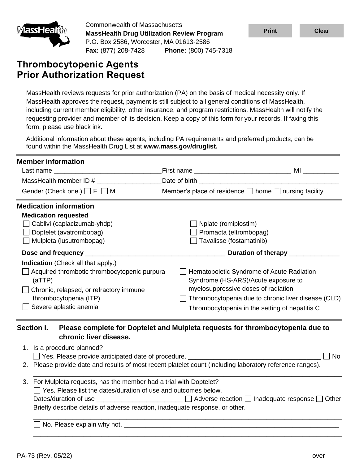

Commonwealth of Massachusetts **MassHealth Drug Utilization Review Program** P.O. Box 2586, Worcester, MA 01613-2586 **Fax:** (877) 208-7428 **Phone:** (800) 745-7318

# **Thrombocytopenic Agents Prior Authorization Request**

| <u>imassHealun</u>                                                                           | <b>MassHealth Drug Utilization Review Program</b>                                                                                                                                                                                                                       |                                                                                                                                                                                                                                                                                                                                                                                                                                       | <b>Print</b> | <b>Clear</b> |
|----------------------------------------------------------------------------------------------|-------------------------------------------------------------------------------------------------------------------------------------------------------------------------------------------------------------------------------------------------------------------------|---------------------------------------------------------------------------------------------------------------------------------------------------------------------------------------------------------------------------------------------------------------------------------------------------------------------------------------------------------------------------------------------------------------------------------------|--------------|--------------|
|                                                                                              | P.O. Box 2586, Worcester, MA 01613-2586                                                                                                                                                                                                                                 | Fax: (877) 208-7428 Phone: (800) 745-7318                                                                                                                                                                                                                                                                                                                                                                                             |              |              |
|                                                                                              | <b>Thrombocytopenic Agents</b><br><b>Prior Authorization Request</b>                                                                                                                                                                                                    |                                                                                                                                                                                                                                                                                                                                                                                                                                       |              |              |
|                                                                                              | form, please use black ink.                                                                                                                                                                                                                                             | MassHealth reviews requests for prior authorization (PA) on the basis of medical necessity only. If<br>MassHealth approves the request, payment is still subject to all general conditions of MassHealth,<br>including current member eligibility, other insurance, and program restrictions. MassHealth will notify the<br>requesting provider and member of its decision. Keep a copy of this form for your records. If faxing this |              |              |
|                                                                                              | found within the MassHealth Drug List at www.mass.gov/druglist.                                                                                                                                                                                                         | Additional information about these agents, including PA requirements and preferred products, can be                                                                                                                                                                                                                                                                                                                                   |              |              |
| <b>Member information</b>                                                                    |                                                                                                                                                                                                                                                                         | MassHealth member ID # __________________Date of birth _________________________                                                                                                                                                                                                                                                                                                                                                      |              |              |
|                                                                                              | Gender (Check one.) $\Box$ F $\Box$ M                                                                                                                                                                                                                                   | Member's place of residence □ home □ nursing facility                                                                                                                                                                                                                                                                                                                                                                                 |              |              |
| <b>Medication information</b><br><b>Medication requested</b><br>Dose and frequency<br>(aTTP) | Cablivi (caplacizumab-yhdp)<br>Doptelet (avatrombopag)<br>Mulpleta (lusutrombopag)<br>Indication (Check all that apply.)<br>Acquired thrombotic thrombocytopenic purpura<br>Chronic, relapsed, or refractory immune<br>thrombocytopenia (ITP)<br>Severe aplastic anemia | $\Box$ Nplate (romiplostim)<br>Promacta (eltrombopag)<br>Tavalisse (fostamatinib)<br>Hematopoietic Syndrome of Acute Radiation<br>Syndrome (HS-ARS)/Acute exposure to<br>myelosuppressive doses of radiation<br>Thrombocytopenia due to chronic liver disease (CLD)<br>Thrombocytopenia in the setting of hepatitis C                                                                                                                 |              |              |
| Section I.<br>3.                                                                             | chronic liver disease.<br>1. Is a procedure planned?<br>For Mulpleta requests, has the member had a trial with Doptelet?<br>Yes. Please list the dates/duration of use and outcomes below.                                                                              | Please complete for Doptelet and Mulpleta requests for thrombocytopenia due to<br>Yes. Please provide anticipated date of procedure. ______________________________<br>2. Please provide date and results of most recent platelet count (including laboratory reference ranges).<br>Dates/duration of use _______________________ □ Adverse reaction □ Inadequate response □ Other                                                    |              | No           |
|                                                                                              |                                                                                                                                                                                                                                                                         | Briefly describe details of adverse reaction, inadequate response, or other.                                                                                                                                                                                                                                                                                                                                                          |              |              |
|                                                                                              |                                                                                                                                                                                                                                                                         |                                                                                                                                                                                                                                                                                                                                                                                                                                       |              |              |
| PA-73 (Rev. 05/22)                                                                           |                                                                                                                                                                                                                                                                         |                                                                                                                                                                                                                                                                                                                                                                                                                                       |              | over         |

## **chronic liver disease.**

| 1. Is a procedure planned?<br>l No                                                                                                           |  |  |
|----------------------------------------------------------------------------------------------------------------------------------------------|--|--|
| 2. Please provide date and results of most recent platelet count (including laboratory reference ranges).                                    |  |  |
| 3. For Mulpleta requests, has the member had a trial with Doptelet?<br>$\Box$ Yes. Please list the dates/duration of use and outcomes below. |  |  |
|                                                                                                                                              |  |  |
| Briefly describe details of adverse reaction, inadequate response, or other.                                                                 |  |  |
| No. Please explain why not. _____                                                                                                            |  |  |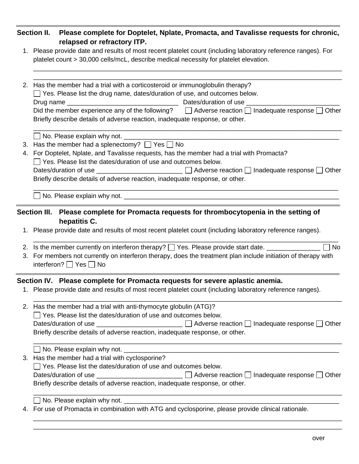|    | Section II. Please complete for Doptelet, Nplate, Promacta, and Tavalisse requests for chronic,<br>relapsed or refractory ITP.                                                                                                                                                                                                                                                                                                                                 |
|----|----------------------------------------------------------------------------------------------------------------------------------------------------------------------------------------------------------------------------------------------------------------------------------------------------------------------------------------------------------------------------------------------------------------------------------------------------------------|
|    | 1. Please provide date and results of most recent platelet count (including laboratory reference ranges). For<br>platelet count > 30,000 cells/mcL, describe medical necessity for platelet elevation.                                                                                                                                                                                                                                                         |
|    | 2. Has the member had a trial with a corticosteroid or immunoglobulin therapy?<br>$\Box$ Yes. Please list the drug name, dates/duration of use, and outcomes below.<br>Did the member experience any of the following? $\Box$ Adverse reaction $\Box$ Inadequate response $\Box$ Other<br>Briefly describe details of adverse reaction, inadequate response, or other.                                                                                         |
|    | No. Please explain why not. ____________<br>3. Has the member had a splenectomy? $\Box$ Yes $\Box$ No<br>4. For Doptelet, Nplate, and Tavalisse requests, has the member had a trial with Promacta?<br>$\Box$ Yes. Please list the dates/duration of use and outcomes below.<br>Dates/duration of use _______________________ □ Adverse reaction □ Inadequate response □ Other<br>Briefly describe details of adverse reaction, inadequate response, or other. |
|    |                                                                                                                                                                                                                                                                                                                                                                                                                                                                |
|    | Section III. Please complete for Promacta requests for thrombocytopenia in the setting of<br>hepatitis C.<br>1. Please provide date and results of most recent platelet count (including laboratory reference ranges).                                                                                                                                                                                                                                         |
|    | 2. Is the member currently on interferon therapy? [ ] Yes. Please provide start date. ______________<br>$\Box$ No<br>3. For members not currently on interferon therapy, does the treatment plan include initiation of therapy with<br>interferon? $\Box$ Yes $\Box$ No                                                                                                                                                                                        |
|    | Section IV. Please complete for Promacta requests for severe aplastic anemia.<br>1. Please provide date and results of most recent platelet count (including laboratory reference ranges).                                                                                                                                                                                                                                                                     |
|    | 2. Has the member had a trial with anti-thymocyte globulin (ATG)?<br>$\Box$ Yes. Please list the dates/duration of use and outcomes below.<br>Dates/duration of use ________________________ □ Adverse reaction □ Inadequate response □ Other<br>Briefly describe details of adverse reaction, inadequate response, or other.                                                                                                                                  |
| 3. | Has the member had a trial with cyclosporine?<br>Yes. Please list the dates/duration of use and outcomes below.<br>$\Box$ Adverse reaction $\Box$ Inadequate response $\Box$ Other<br>Briefly describe details of adverse reaction, inadequate response, or other.                                                                                                                                                                                             |
|    | 4. For use of Promacta in combination with ATG and cyclosporine, please provide clinical rationale.                                                                                                                                                                                                                                                                                                                                                            |

\_\_\_\_\_\_\_\_\_\_\_\_\_\_\_\_\_\_\_\_\_\_\_\_\_\_\_\_\_\_\_\_\_\_\_\_\_\_\_\_\_\_\_\_\_\_\_\_\_\_\_\_\_\_\_\_\_\_\_\_\_\_\_\_\_\_\_\_\_\_\_\_\_\_\_\_\_\_\_\_\_\_\_\_\_\_